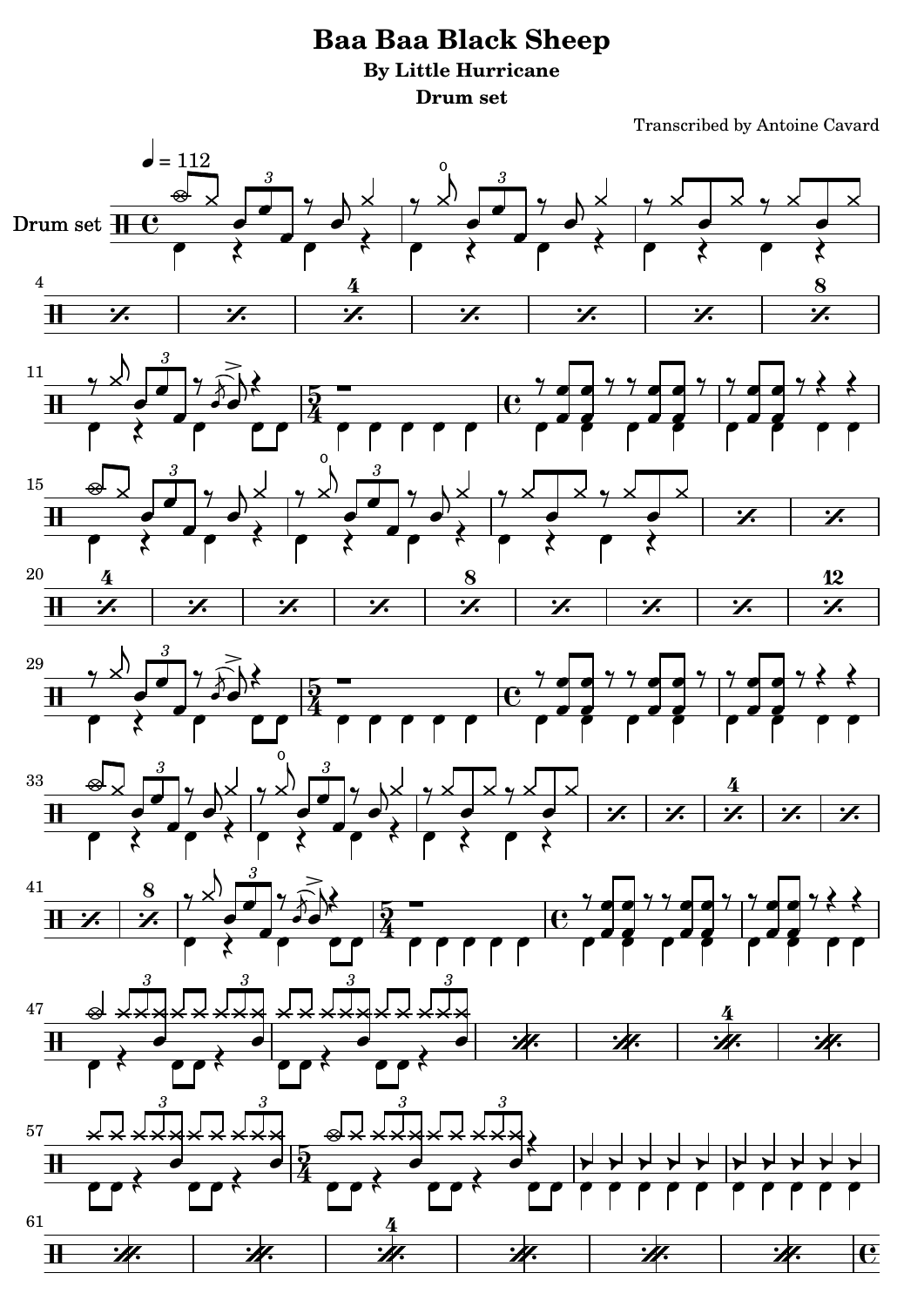## **Baa Baa Black Sheep By Little Hurricane Drum set**

Transcribed by Antoine Cavard